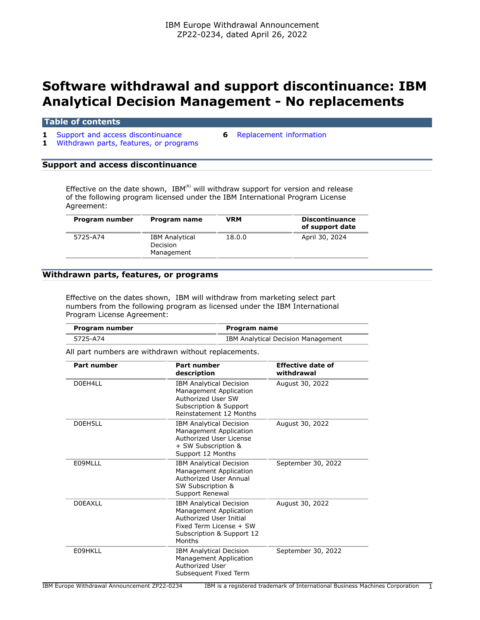# **Software withdrawal and support discontinuance: IBM Analytical Decision Management - No replacements**

#### **Table of contents**

- **1** [Support and access discontinuance](#page-0-0) **6** [Replacement information](#page-5-0)
	-
- **1** [Withdrawn parts, features, or programs](#page-0-1)

## <span id="page-0-0"></span>**Support and access discontinuance**

Effective on the date shown, IBM(R) will withdraw support for version and release of the following program licensed under the IBM International Program License Agreement:

| Program number | Program name                                    | VRM    | <b>Discontinuance</b><br>of support date |
|----------------|-------------------------------------------------|--------|------------------------------------------|
| 5725-A74       | <b>IBM Analytical</b><br>Decision<br>Management | 18.0.0 | April 30, 2024                           |

#### <span id="page-0-1"></span>**Withdrawn parts, features, or programs**

Effective on the dates shown, IBM will withdraw from marketing select part numbers from the following program as licensed under the IBM International Program License Agreement:

| Program number | Program name                       |
|----------------|------------------------------------|
| 5725-A74       | IBM Analytical Decision Management |

All part numbers are withdrawn without replacements.

| Part number    | Part number<br>description                                                                                                                            | <b>Effective date of</b><br>withdrawal |
|----------------|-------------------------------------------------------------------------------------------------------------------------------------------------------|----------------------------------------|
| D0FH411        | <b>IBM Analytical Decision</b><br>Management Application<br>Authorized User SW<br>Subscription & Support<br>Reinstatement 12 Months                   | August 30, 2022                        |
| DOFH5LL        | <b>IBM Analytical Decision</b><br>Management Application<br>Authorized User License<br>+ SW Subscription &<br>Support 12 Months                       | August 30, 2022                        |
| E09MLLL        | <b>IBM Analytical Decision</b><br>Management Application<br>Authorized User Annual<br>SW Subscription &<br>Support Renewal                            | September 30, 2022                     |
| <b>DOEAXLL</b> | <b>IBM Analytical Decision</b><br>Management Application<br>Authorized User Initial<br>Fixed Term License + SW<br>Subscription & Support 12<br>Months | August 30, 2022                        |
| E09HKLL        | <b>IBM Analytical Decision</b><br>Management Application<br>Authorized User<br>Subsequent Fixed Term                                                  | September 30, 2022                     |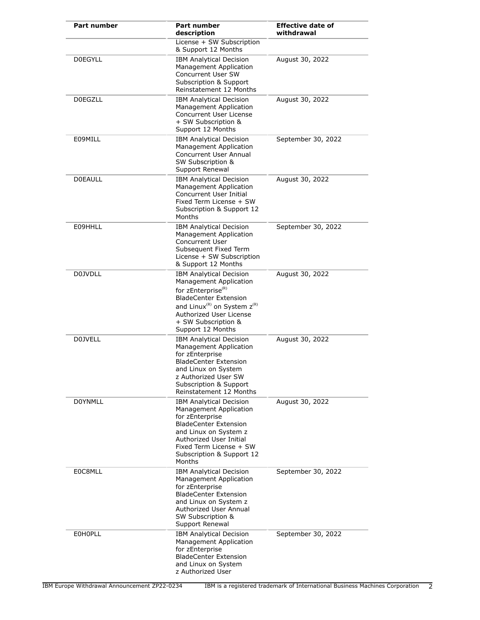| <b>Part number</b> | <b>Part number</b><br>description                                                                                                                                                                                                                        | <b>Effective date of</b><br>withdrawal |
|--------------------|----------------------------------------------------------------------------------------------------------------------------------------------------------------------------------------------------------------------------------------------------------|----------------------------------------|
|                    | License + SW Subscription<br>& Support 12 Months                                                                                                                                                                                                         |                                        |
| <b>DOEGYLL</b>     | <b>IBM Analytical Decision</b><br>Management Application<br>Concurrent User SW<br>Subscription & Support<br>Reinstatement 12 Months                                                                                                                      | August 30, 2022                        |
| <b>DOEGZLL</b>     | <b>IBM Analytical Decision</b><br>Management Application<br>Concurrent User License<br>+ SW Subscription &<br>Support 12 Months                                                                                                                          | August 30, 2022                        |
| E09MILL            | <b>IBM Analytical Decision</b><br>Management Application<br>Concurrent User Annual<br>SW Subscription &<br>Support Renewal                                                                                                                               | September 30, 2022                     |
| <b>DOEAULL</b>     | <b>IBM Analytical Decision</b><br>Management Application<br>Concurrent User Initial<br>Fixed Term License + SW<br>Subscription & Support 12<br>Months                                                                                                    | August 30, 2022                        |
| E09HHLL            | <b>IBM Analytical Decision</b><br>Management Application<br><b>Concurrent User</b><br>Subsequent Fixed Term<br>License + SW Subscription<br>& Support 12 Months                                                                                          | September 30, 2022                     |
| D0JVDLL            | <b>IBM Analytical Decision</b><br>Management Application<br>for zEnterprise <sup>(R)</sup><br><b>BladeCenter Extension</b><br>and Linux <sup>(R)</sup> on System z <sup>(R)</sup><br>Authorized User License<br>+ SW Subscription &<br>Support 12 Months | August 30, 2022                        |
| <b>D0JVELL</b>     | <b>IBM Analytical Decision</b><br>Management Application<br>for zEnterprise<br><b>BladeCenter Extension</b><br>and Linux on System<br>z Authorized User SW<br>Subscription & Support<br>Reinstatement 12 Months                                          | August 30, 2022                        |
| <b>DOYNMLL</b>     | <b>IBM Analytical Decision</b><br>Management Application<br>for zEnterprise<br><b>BladeCenter Extension</b><br>and Linux on System z<br>Authorized User Initial<br>Fixed Term License + SW<br>Subscription & Support 12<br>Months                        | August 30, 2022                        |
| E0C8MLL            | <b>IBM Analytical Decision</b><br>Management Application<br>for zEnterprise<br><b>BladeCenter Extension</b><br>and Linux on System z<br>Authorized User Annual<br>SW Subscription &<br>Support Renewal                                                   | September 30, 2022                     |
| <b>EOHOPLL</b>     | <b>IBM Analytical Decision</b><br><b>Management Application</b><br>for zEnterprise<br><b>BladeCenter Extension</b><br>and Linux on System<br>z Authorized User                                                                                           | September 30, 2022                     |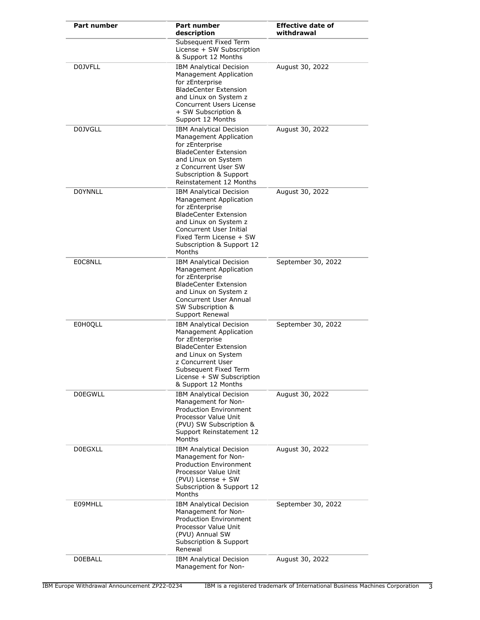| <b>Part number</b> | Part number<br>description                                                                                                                                                                                                           | <b>Effective date of</b><br>withdrawal |
|--------------------|--------------------------------------------------------------------------------------------------------------------------------------------------------------------------------------------------------------------------------------|----------------------------------------|
|                    | Subsequent Fixed Term<br>License + SW Subscription<br>& Support 12 Months                                                                                                                                                            |                                        |
| <b>D0JVFLL</b>     | <b>IBM Analytical Decision</b><br>Management Application<br>for zEnterprise<br><b>BladeCenter Extension</b><br>and Linux on System z<br>Concurrent Users License<br>+ SW Subscription &<br>Support 12 Months                         | August 30, 2022                        |
| <b>D0JVGLL</b>     | <b>IBM Analytical Decision</b><br>Management Application<br>for zEnterprise<br><b>BladeCenter Extension</b><br>and Linux on System<br>z Concurrent User SW<br>Subscription & Support<br>Reinstatement 12 Months                      | August 30, 2022                        |
| <b>DOYNNLL</b>     | <b>IBM Analytical Decision</b><br>Management Application<br>for zEnterprise<br><b>BladeCenter Extension</b><br>and Linux on System z<br>Concurrent User Initial<br>Fixed Term License + SW<br>Subscription & Support 12<br>Months    | August 30, 2022                        |
| E0C8NLL            | <b>IBM Analytical Decision</b><br>Management Application<br>for zEnterprise<br><b>BladeCenter Extension</b><br>and Linux on System z<br><b>Concurrent User Annual</b><br>SW Subscription &<br>Support Renewal                        | September 30, 2022                     |
| <b>E0H0QLL</b>     | <b>IBM Analytical Decision</b><br>Management Application<br>for zEnterprise<br><b>BladeCenter Extension</b><br>and Linux on System<br>z Concurrent User<br>Subsequent Fixed Term<br>License + SW Subscription<br>& Support 12 Months | September 30, 2022                     |
| <b>DOEGWLL</b>     | <b>IBM Analytical Decision</b><br>Management for Non-<br><b>Production Environment</b><br>Processor Value Unit<br>(PVU) SW Subscription &<br>Support Reinstatement 12<br>Months                                                      | August 30, 2022                        |
| <b>DOEGXLL</b>     | <b>IBM Analytical Decision</b><br>Management for Non-<br><b>Production Environment</b><br>Processor Value Unit<br>(PVU) License + SW<br>Subscription & Support 12<br>Months                                                          | August 30, 2022                        |
| E09MHLL            | <b>IBM Analytical Decision</b><br>Management for Non-<br><b>Production Environment</b><br>Processor Value Unit<br>(PVU) Annual SW<br>Subscription & Support<br>Renewal                                                               | September 30, 2022                     |
| <b>DOEBALL</b>     | <b>IBM Analytical Decision</b><br>Management for Non-                                                                                                                                                                                | August 30, 2022                        |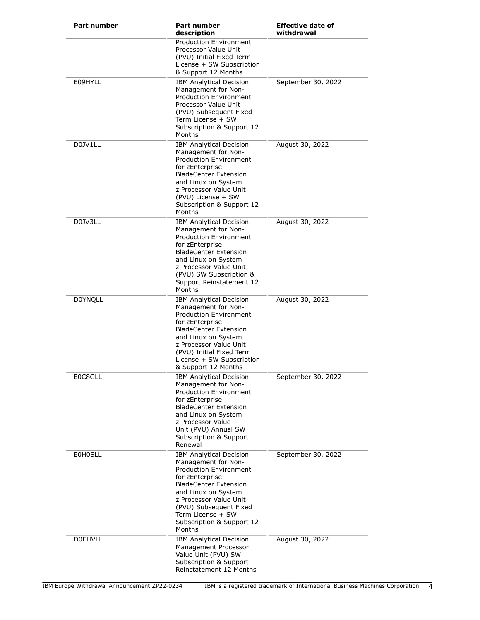| <b>Part number</b> | Part number<br>description                                                                                                                                                                                                                                                       | <b>Effective date of</b><br>withdrawal |
|--------------------|----------------------------------------------------------------------------------------------------------------------------------------------------------------------------------------------------------------------------------------------------------------------------------|----------------------------------------|
|                    | <b>Production Environment</b><br>Processor Value Unit<br>(PVU) Initial Fixed Term<br>License + SW Subscription<br>& Support 12 Months                                                                                                                                            |                                        |
| E09HYLL            | <b>IBM Analytical Decision</b><br>Management for Non-<br><b>Production Environment</b><br>Processor Value Unit<br>(PVU) Subsequent Fixed<br>Term License + SW<br>Subscription & Support 12<br>Months                                                                             | September 30, 2022                     |
| D0JV1LL            | <b>IBM Analytical Decision</b><br>Management for Non-<br>Production Environment<br>for zEnterprise<br><b>BladeCenter Extension</b><br>and Linux on System<br>z Processor Value Unit<br>(PVU) License + SW<br>Subscription & Support 12<br>Months                                 | August 30, 2022                        |
| D0JV3LL            | <b>IBM Analytical Decision</b><br>Management for Non-<br><b>Production Environment</b><br>for zEnterprise<br><b>BladeCenter Extension</b><br>and Linux on System<br>z Processor Value Unit<br>(PVU) SW Subscription &<br>Support Reinstatement 12<br>Months                      | August 30, 2022                        |
| <b>DOYNQLL</b>     | <b>IBM Analytical Decision</b><br>Management for Non-<br>Production Environment<br>for zEnterprise<br><b>BladeCenter Extension</b><br>and Linux on System<br>z Processor Value Unit<br>(PVU) Initial Fixed Term<br>License + SW Subscription<br>& Support 12 Months              | August 30, 2022                        |
| E0C8GLL            | <b>IBM Analytical Decision</b><br>Management for Non-<br><b>Production Environment</b><br>for zEnterprise<br><b>BladeCenter Extension</b><br>and Linux on System<br>z Processor Value<br>Unit (PVU) Annual SW<br>Subscription & Support<br>Renewal                               | September 30, 2022                     |
| <b>E0H0SLL</b>     | <b>IBM Analytical Decision</b><br>Management for Non-<br><b>Production Environment</b><br>for zEnterprise<br><b>BladeCenter Extension</b><br>and Linux on System<br>z Processor Value Unit<br>(PVU) Subsequent Fixed<br>Term License + SW<br>Subscription & Support 12<br>Months | September 30, 2022                     |
| <b>DOEHVLL</b>     | <b>IBM Analytical Decision</b><br>Management Processor<br>Value Unit (PVU) SW<br>Subscription & Support<br>Reinstatement 12 Months                                                                                                                                               | August 30, 2022                        |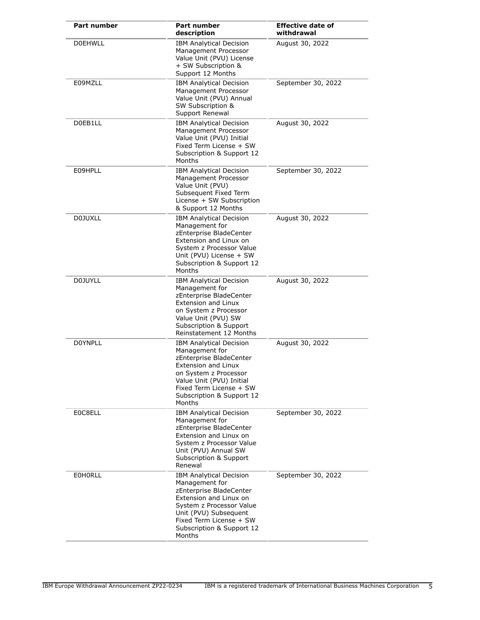| <b>Part number</b> | <b>Part number</b><br>description                                                                                                                                                                                                | <b>Effective date of</b><br>withdrawal |
|--------------------|----------------------------------------------------------------------------------------------------------------------------------------------------------------------------------------------------------------------------------|----------------------------------------|
| <b>DOEHWLL</b>     | <b>IBM Analytical Decision</b><br>Management Processor<br>Value Unit (PVU) License<br>+ SW Subscription &<br>Support 12 Months                                                                                                   | August 30, 2022                        |
| E09MZLL            | <b>IBM Analytical Decision</b><br>Management Processor<br>Value Unit (PVU) Annual<br>SW Subscription &<br>Support Renewal                                                                                                        | September 30, 2022                     |
| D0EB1LL            | <b>IBM Analytical Decision</b><br>Management Processor<br>Value Unit (PVU) Initial<br>Fixed Term License + SW<br>Subscription & Support 12<br>Months                                                                             | August 30, 2022                        |
| E09HPLL            | <b>IBM Analytical Decision</b><br>Management Processor<br>Value Unit (PVU)<br>Subsequent Fixed Term<br>License + SW Subscription<br>& Support 12 Months                                                                          | September 30, 2022                     |
| <b>D0JUXLL</b>     | <b>IBM Analytical Decision</b><br>Management for<br>zEnterprise BladeCenter<br>Extension and Linux on<br>System z Processor Value<br>Unit (PVU) License + SW<br>Subscription & Support 12<br>Months                              | August 30, 2022                        |
| <b>D0JUYLL</b>     | <b>IBM Analytical Decision</b><br>Management for<br>zEnterprise BladeCenter<br>Extension and Linux<br>on System z Processor<br>Value Unit (PVU) SW<br><b>Subscription &amp; Support</b><br>Reinstatement 12 Months               | August 30, 2022                        |
| <b>DOYNPLL</b>     | <b>IBM Analytical Decision</b><br>Management for<br>zEnterprise BladeCenter<br><b>Extension and Linux</b><br>on System z Processor<br>Value Unit (PVU) Initial<br>Fixed Term License + SW<br>Subscription & Support 12<br>Months | August 30, 2022                        |
| E0C8ELL            | <b>IBM Analytical Decision</b><br>Management for<br>zEnterprise BladeCenter<br>Extension and Linux on<br>System z Processor Value<br>Unit (PVU) Annual SW<br>Subscription & Support<br>Renewal                                   | September 30, 2022                     |
| <b>EOHORLL</b>     | <b>IBM Analytical Decision</b><br>Management for<br>zEnterprise BladeCenter<br>Extension and Linux on<br>System z Processor Value<br>Unit (PVU) Subsequent<br>Fixed Term License + SW<br>Subscription & Support 12<br>Months     | September 30, 2022                     |